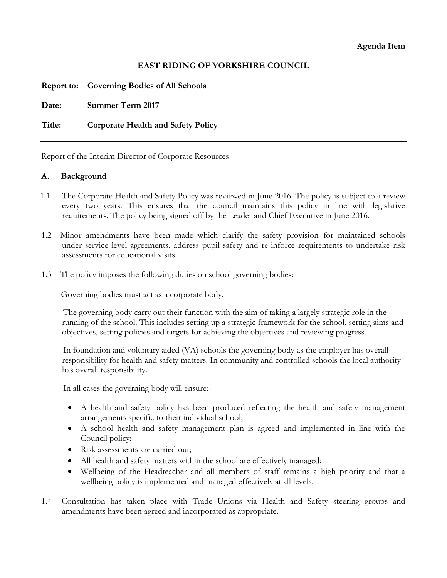## **EAST RIDING OF YORKSHIRE COUNCIL**

**Report to: Governing Bodies of All Schools**

**Date: Summer Term 2017**

## **Title: Corporate Health and Safety Policy**

Report of the Interim Director of Corporate Resources

#### **A. Background**

- 1.1 The Corporate Health and Safety Policy was reviewed in June 2016. The policy is subject to a review every two years. This ensures that the council maintains this policy in line with legislative requirements. The policy being signed off by the Leader and Chief Executive in June 2016.
- 1.2 Minor amendments have been made which clarify the safety provision for maintained schools under service level agreements, address pupil safety and re-inforce requirements to undertake risk assessments for educational visits.
- 1.3 The policy imposes the following duties on school governing bodies:

Governing bodies must act as a corporate body.

 The governing body carry out their function with the aim of taking a largely strategic role in the running of the school. This includes setting up a strategic framework for the school, setting aims and objectives, setting policies and targets for achieving the objectives and reviewing progress.

 In foundation and voluntary aided (VA) schools the governing body as the employer has overall responsibility for health and safety matters. In community and controlled schools the local authority has overall responsibility.

In all cases the governing body will ensure:-

- A health and safety policy has been produced reflecting the health and safety management arrangements specific to their individual school;
- A school health and safety management plan is agreed and implemented in line with the Council policy;
- Risk assessments are carried out;
- All health and safety matters within the school are effectively managed;
- Wellbeing of the Headteacher and all members of staff remains a high priority and that a wellbeing policy is implemented and managed effectively at all levels.
- 1.4 Consultation has taken place with Trade Unions via Health and Safety steering groups and amendments have been agreed and incorporated as appropriate.